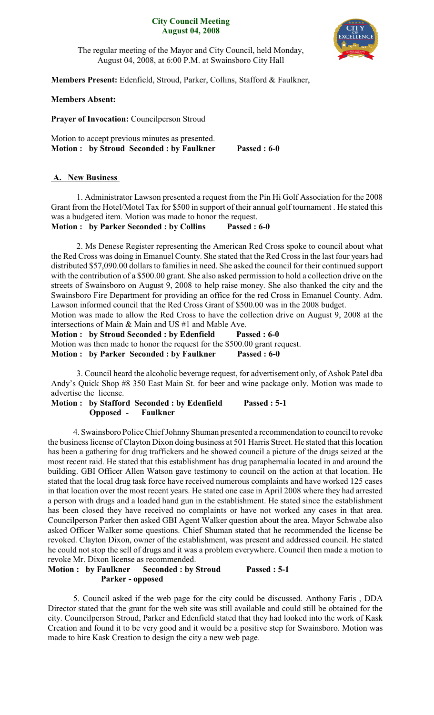#### **City Council Meeting August 04, 2008**



The regular meeting of the Mayor and City Council, held Monday, August 04, 2008, at 6:00 P.M. at Swainsboro City Hall

**Members Present:** Edenfield, Stroud, Parker, Collins, Stafford & Faulkner,

### **Members Absent:**

**Prayer of Invocation:** Councilperson Stroud

Motion to accept previous minutes as presented. **Motion : by Stroud Seconded : by Faulkner Passed : 6-0**

### **A. New Business**

1. Administrator Lawson presented a request from the Pin Hi Golf Association for the 2008 Grant from the Hotel/Motel Tax for \$500 in support of their annual golf tournament . He stated this was a budgeted item. Motion was made to honor the request.

**Motion : by Parker Seconded : by Collins Passed : 6-0**

2. Ms Denese Register representing the American Red Cross spoke to council about what the Red Cross was doing in Emanuel County. She stated that the Red Cross in the last four years had distributed \$57,090.00 dollars to families in need. She asked the council for their continued support with the contribution of a \$500.00 grant. She also asked permission to hold a collection drive on the streets of Swainsboro on August 9, 2008 to help raise money. She also thanked the city and the Swainsboro Fire Department for providing an office for the red Cross in Emanuel County. Adm. Lawson informed council that the Red Cross Grant of \$500.00 was in the 2008 budget.

Motion was made to allow the Red Cross to have the collection drive on August 9, 2008 at the intersections of Main & Main and US #1 and Mable Ave.

**Motion : by Stroud Seconded : by Edenfield Passed : 6-0** Motion was then made to honor the request for the \$500.00 grant request. **Motion : by Parker Seconded : by Faulkner Passed : 6-0**

3. Council heard the alcoholic beverage request, for advertisement only, of Ashok Patel dba Andy's Quick Shop #8 350 East Main St. for beer and wine package only. Motion was made to advertise the license.

**Motion : by Stafford Seconded : by Edenfield Passed : 5-1 Opposed - Faulkner**

4. Swainsboro Police Chief JohnnyShuman presented a recommendation to council to revoke the business license of Clayton Dixon doing business at 501 Harris Street. He stated that this location has been a gathering for drug traffickers and he showed council a picture of the drugs seized at the most recent raid. He stated that this establishment has drug paraphernalia located in and around the building. GBI Officer Allen Watson gave testimony to council on the action at that location. He stated that the local drug task force have received numerous complaints and have worked 125 cases in that location over the most recent years. He stated one case in April 2008 where they had arrested a person with drugs and a loaded hand gun in the establishment. He stated since the establishment has been closed they have received no complaints or have not worked any cases in that area. Councilperson Parker then asked GBI Agent Walker question about the area. Mayor Schwabe also asked Officer Walker some questions. Chief Shuman stated that he recommended the license be revoked. Clayton Dixon, owner of the establishment, was present and addressed council. He stated he could not stop the sell of drugs and it was a problem everywhere. Council then made a motion to revoke Mr. Dixon license as recommended.

### **Motion : by Faulkner Seconded : by Stroud Passed : 5-1 Parker - opposed**

5. Council asked if the web page for the city could be discussed. Anthony Faris , DDA Director stated that the grant for the web site was still available and could still be obtained for the city. Councilperson Stroud, Parker and Edenfield stated that they had looked into the work of Kask Creation and found it to be very good and it would be a positive step for Swainsboro. Motion was made to hire Kask Creation to design the city a new web page.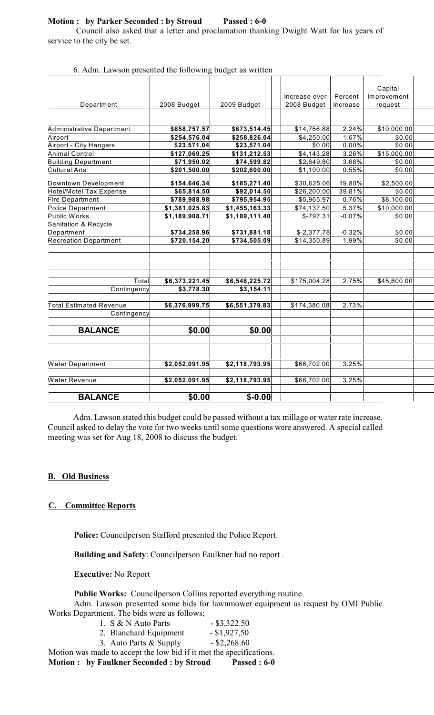## **Motion : by Parker Seconded : by Stroud Passed : 6-0**

Council also asked that a letter and proclamation thanking Dwight Watt for his years of service to the city be set.

|                                                        |                             |                             | Increase over | Percent          | Capital<br>Improvement |
|--------------------------------------------------------|-----------------------------|-----------------------------|---------------|------------------|------------------------|
| Department                                             | 2008 Budget                 | 2009 Budget                 | 2008 Budget   | Increase         | request                |
|                                                        |                             |                             |               |                  |                        |
|                                                        |                             |                             |               |                  |                        |
| Administrative Department                              | \$658,757.57                | \$673,514.45                | \$14,756.88   | 2.24%            | \$10,000.00            |
| Airport                                                | \$254,576.04                | \$258,826.04                | \$4,250.00    | 1.67%            | \$0.00                 |
| Airport - City Hangers                                 | \$23,571.04                 | \$23,571.04                 | \$0.00        | 0.00%            | \$0.00                 |
| <b>Animal Control</b>                                  | \$127,069.25                | \$131,212.53                | \$4,143.28    | 3.26%            | \$15,000.00            |
| <b>Building Department</b>                             | \$71,950.02                 | \$74,599.82                 | \$2,649.80    | 3.68%            | \$0.00                 |
| <b>Cultural Arts</b>                                   | \$201,500.00                | \$202,600.00                | \$1,100.00    | 0.55%            | \$0.00                 |
|                                                        |                             |                             | \$30,625.06   |                  | \$2,500.00             |
| Downtown Development<br><b>Hotel/Motel Tax Expense</b> | \$154,646.34<br>\$65,814.50 | \$185,271.40<br>\$92,014.50 | \$26,200.00   | 19.80%<br>39.81% | \$0.00                 |
| <b>Fire Department</b>                                 | \$789,988.98                | \$795,954.95                | \$5,965.97    | 0.76%            | \$8,100.00             |
| <b>Police Department</b>                               | \$1,381,025.83              | \$1,455,163.33              | \$74,137.50   | 5.37%            | \$10,000.00            |
| Public Works                                           | \$1,189,908.71              | \$1,189,111.40              | $$-797.31$    | $-0.07%$         | \$0.00                 |
| Sanitation & Recycle                                   |                             |                             |               |                  |                        |
| Department                                             | \$734,258.96                | \$731,881.18                | $$-2,377.78$  | $-0.32%$         | \$0.00                 |
| <b>Recreation Department</b>                           | \$720,154.20                | \$734,505.09                | \$14,350.89   | 1.99%            | \$0.00                 |
|                                                        |                             |                             |               |                  |                        |
|                                                        |                             |                             |               |                  |                        |
|                                                        |                             |                             |               |                  |                        |
|                                                        |                             |                             |               |                  |                        |
| Total                                                  | \$6,373,221.45              | \$6,548,225.72              | \$175,004.28  | 2.75%            | \$45,600.00            |
| Contingency                                            | \$3,778.30                  | \$3,154.11                  |               |                  |                        |
|                                                        |                             |                             |               | 2.73%            |                        |
| <b>Total Estimated Revenue</b>                         | \$6,376,999.75              | \$6,551,379.83              | \$174,380.08  |                  |                        |
| Contingency                                            |                             |                             |               |                  |                        |
| <b>BALANCE</b>                                         | \$0.00                      | \$0.00                      |               |                  |                        |
|                                                        |                             |                             |               |                  |                        |
|                                                        |                             |                             |               |                  |                        |
|                                                        |                             |                             |               |                  |                        |
| Water Department                                       | \$2,052,091.95              | \$2,118,793.95              | \$66,702.00   | 3.25%            |                        |
|                                                        |                             |                             |               |                  |                        |
| Water Revenue                                          | \$2,052,091.95              | \$2,118,793.95              | \$66,702.00   | 3.25%            |                        |
| <b>BALANCE</b>                                         | \$0.00                      | $$ -0.00$                   |               |                  |                        |
|                                                        |                             |                             |               |                  |                        |

6. Adm. Lawson presented the following budget as written

Adm. Lawson stated this budget could be passed without a tax millage or water rate increase. Council asked to delay the vote for two weeks until some questions were answered. A special called meeting was set for Aug 18, 2008 to discuss the budget.

# **B. Old Business**

# **C. Committee Reports**

**Police:** Councilperson Stafford presented the Police Report.

**Building and Safety**: Councilperson Faulkner had no report .

**Executive:** No Report

**Public Works:** Councilperson Collins reported everything routine.

Adm. Lawson presented some bids for lawnmower equipment as request by OMI Public Works Department. The bids were as follows;

| 1. S & N Auto Parts                                | $-$ \$3,322.50 |
|----------------------------------------------------|----------------|
| 2. Blanchard Equipment                             | $-$ \$1,927,50 |
| 3. Auto Parts & Supply                             | $-$ \$2,268.60 |
| made to accent the low hid if it met the specifica |                |

Motion was made to accept the low bid if it met the specifications. **Motion : by Faulkner Seconded : by Stroud Passed : 6-0**